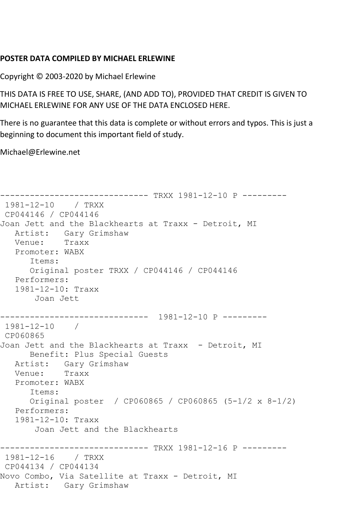## **POSTER DATA COMPILED BY MICHAEL ERLEWINE**

Copyright © 2003-2020 by Michael Erlewine

THIS DATA IS FREE TO USE, SHARE, (AND ADD TO), PROVIDED THAT CREDIT IS GIVEN TO MICHAEL ERLEWINE FOR ANY USE OF THE DATA ENCLOSED HERE.

There is no guarantee that this data is complete or without errors and typos. This is just a beginning to document this important field of study.

Michael@Erlewine.net

```
------------------------------ TRXX 1981-12-10 P ---------
1981-12-10 / TRXX 
CP044146 / CP044146
Joan Jett and the Blackhearts at Traxx - Detroit, MI
   Artist: Gary Grimshaw
   Venue: Traxx
   Promoter: WABX
      Items:
      Original poster TRXX / CP044146 / CP044146
   Performers:
   1981-12-10: Traxx
       Joan Jett
------------------------------ 1981-12-10 P ---------
1981-12-10 / 
CP060865
Joan Jett and the Blackhearts at Traxx - Detroit, MI
      Benefit: Plus Special Guests
   Artist: Gary Grimshaw
   Venue: Traxx
   Promoter: WABX
      Items:
      Original poster / CP060865 / CP060865 (5-1/2 x 8-1/2)
   Performers:
   1981-12-10: Traxx
       Joan Jett and the Blackhearts
------------------------------ TRXX 1981-12-16 P ---------
1981-12-16 / TRXX 
CP044134 / CP044134
Novo Combo, Via Satellite at Traxx - Detroit, MI
   Artist: Gary Grimshaw
```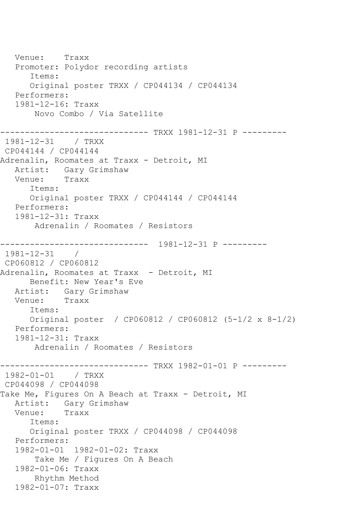Venue: Traxx Promoter: Polydor recording artists Items: Original poster TRXX / CP044134 / CP044134 Performers: 1981-12-16: Traxx Novo Combo / Via Satellite ------------------------------ TRXX 1981-12-31 P --------- 1981-12-31 / TRXX CP044144 / CP044144 Adrenalin, Roomates at Traxx - Detroit, MI Artist: Gary Grimshaw<br>Venue: Traxx Venue: Items: Original poster TRXX / CP044144 / CP044144 Performers: 1981-12-31: Traxx Adrenalin / Roomates / Resistors ------------------------------ 1981-12-31 P --------- 1981-12-31 / CP060812 / CP060812 Adrenalin, Roomates at Traxx - Detroit, MI Benefit: New Year's Eve Artist: Gary Grimshaw<br>Venue: Traxx Venue: Items: Original poster / CP060812 / CP060812 (5-1/2 x 8-1/2) Performers: 1981-12-31: Traxx Adrenalin / Roomates / Resistors ------------------------------ TRXX 1982-01-01 P --------- 1982-01-01 / TRXX CP044098 / CP044098 Take Me, Figures On A Beach at Traxx - Detroit, MI Artist: Gary Grimshaw Venue: Traxx Items: Original poster TRXX / CP044098 / CP044098 Performers: 1982-01-01 1982-01-02: Traxx Take Me / Figures On A Beach 1982-01-06: Traxx Rhythm Method 1982-01-07: Traxx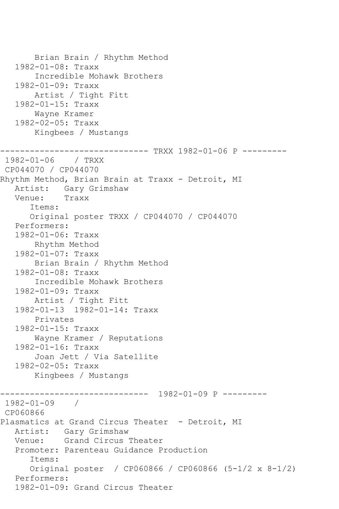Brian Brain / Rhythm Method 1982-01-08: Traxx Incredible Mohawk Brothers 1982-01-09: Traxx Artist / Tight Fitt 1982-01-15: Traxx Wayne Kramer 1982-02-05: Traxx Kingbees / Mustangs ----------------------------- TRXX 1982-01-06 P ---------1982-01-06 / TRXX CP044070 / CP044070 Rhythm Method, Brian Brain at Traxx - Detroit, MI Artist: Gary Grimshaw<br>Venue: Traxx Venue: Items: Original poster TRXX / CP044070 / CP044070 Performers: 1982-01-06: Traxx Rhythm Method 1982-01-07: Traxx Brian Brain / Rhythm Method 1982-01-08: Traxx Incredible Mohawk Brothers 1982-01-09: Traxx Artist / Tight Fitt 1982-01-13 1982-01-14: Traxx Privates 1982-01-15: Traxx Wayne Kramer / Reputations 1982-01-16: Traxx Joan Jett / Via Satellite 1982-02-05: Traxx Kingbees / Mustangs ------------------------------ 1982-01-09 P --------- 1982-01-09 / CP060866 Plasmatics at Grand Circus Theater - Detroit, MI Artist: Gary Grimshaw Venue: Grand Circus Theater Promoter: Parenteau Guidance Production Items: Original poster / CP060866 / CP060866 (5-1/2 x 8-1/2) Performers: 1982-01-09: Grand Circus Theater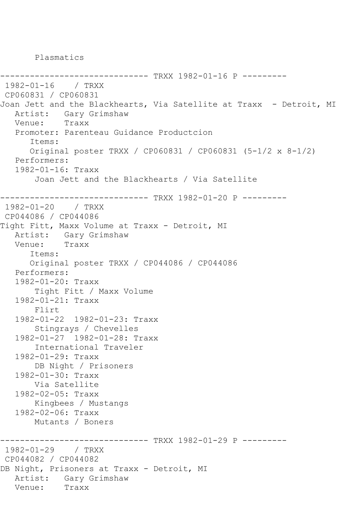Plasmatics

```
-------------- TRXX 1982-01-16 P ---------
1982-01-16 / TRXX 
CP060831 / CP060831
Joan Jett and the Blackhearts, Via Satellite at Traxx - Detroit, MI
  Artist: Gary Grimshaw<br>Venue: Traxx
  Venue:
    Promoter: Parenteau Guidance Productcion
       Items:
       Original poster TRXX / CP060831 / CP060831 (5-1/2 x 8-1/2)
    Performers:
    1982-01-16: Traxx
        Joan Jett and the Blackhearts / Via Satellite
      ------------------------------ TRXX 1982-01-20 P ---------
1982-01-20 / TRXX 
CP044086 / CP044086
Tight Fitt, Maxx Volume at Traxx - Detroit, MI
  Artist: Gary Grimshaw<br>Venue: Traxx
  Venue:
       Items:
       Original poster TRXX / CP044086 / CP044086
    Performers:
    1982-01-20: Traxx
        Tight Fitt / Maxx Volume
    1982-01-21: Traxx
        Flirt
    1982-01-22 1982-01-23: Traxx
        Stingrays / Chevelles
    1982-01-27 1982-01-28: Traxx
        International Traveler
    1982-01-29: Traxx
        DB Night / Prisoners
    1982-01-30: Traxx
        Via Satellite
    1982-02-05: Traxx
        Kingbees / Mustangs
    1982-02-06: Traxx
        Mutants / Boners
------------------------------ TRXX 1982-01-29 P ---------
1982-01-29 / TRXX 
CP044082 / CP044082
DB Night, Prisoners at Traxx - Detroit, MI
  Artist: Gary Grimshaw<br>Venue: Traxx
  Venue:
```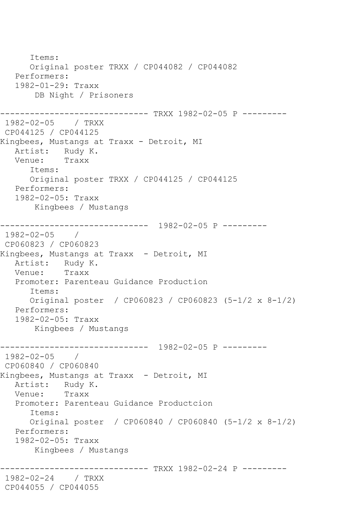Items: Original poster TRXX / CP044082 / CP044082 Performers: 1982-01-29: Traxx DB Night / Prisoners ------------------------------ TRXX 1982-02-05 P --------- 1982-02-05 / TRXX CP044125 / CP044125 Kingbees, Mustangs at Traxx - Detroit, MI Artist: Rudy K.<br>Venue: Traxx Venue: Items: Original poster TRXX / CP044125 / CP044125 Performers: 1982-02-05: Traxx Kingbees / Mustangs ------------------------------ 1982-02-05 P --------- 1982-02-05 / CP060823 / CP060823 Kingbees, Mustangs at Traxx - Detroit, MI Artist: Rudy K.<br>Venue: Traxx Venue: Promoter: Parenteau Guidance Production Items: Original poster / CP060823 / CP060823 (5-1/2 x 8-1/2) Performers: 1982-02-05: Traxx Kingbees / Mustangs ------------------------------ 1982-02-05 P --------- 1982-02-05 / CP060840 / CP060840 Kingbees, Mustangs at Traxx - Detroit, MI Artist: Rudy K.<br>Venue: Traxx Venue: Promoter: Parenteau Guidance Productcion Items: Original poster / CP060840 / CP060840 (5-1/2 x 8-1/2) Performers: 1982-02-05: Traxx Kingbees / Mustangs ------------ TRXX 1982-02-24 P ----------1982-02-24 / TRXX CP044055 / CP044055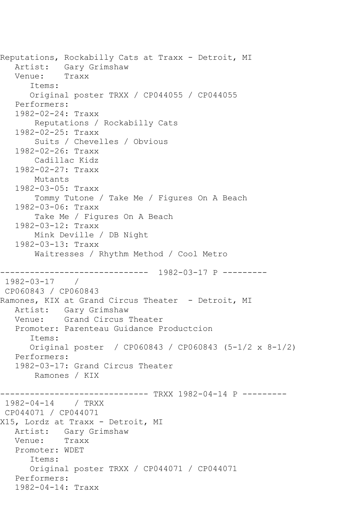```
Reputations, Rockabilly Cats at Traxx - Detroit, MI
   Artist: Gary Grimshaw<br>Venue: Traxx
  Venue:
       Items:
       Original poster TRXX / CP044055 / CP044055
    Performers:
    1982-02-24: Traxx
        Reputations / Rockabilly Cats
    1982-02-25: Traxx
        Suits / Chevelles / Obvious
    1982-02-26: Traxx
        Cadillac Kidz
    1982-02-27: Traxx
        Mutants
    1982-03-05: Traxx
        Tommy Tutone / Take Me / Figures On A Beach
    1982-03-06: Traxx
        Take Me / Figures On A Beach
    1982-03-12: Traxx
        Mink Deville / DB Night
    1982-03-13: Traxx
        Waitresses / Rhythm Method / Cool Metro
------------------------------ 1982-03-17 P ---------
1982-03-17 / 
CP060843 / CP060843
Ramones, KIX at Grand Circus Theater - Detroit, MI
   Artist: Gary Grimshaw
   Venue: Grand Circus Theater
   Promoter: Parenteau Guidance Productcion
       Items:
       Original poster / CP060843 / CP060843 (5-1/2 x 8-1/2)
   Performers:
    1982-03-17: Grand Circus Theater
        Ramones / KIX
------------------------------ TRXX 1982-04-14 P ---------
1982-04-14 / TRXX 
CP044071 / CP044071
X15, Lordz at Traxx - Detroit, MI
   Artist: Gary Grimshaw
   Venue: Traxx
   Promoter: WDET
       Items:
       Original poster TRXX / CP044071 / CP044071
   Performers:
   1982-04-14: Traxx
```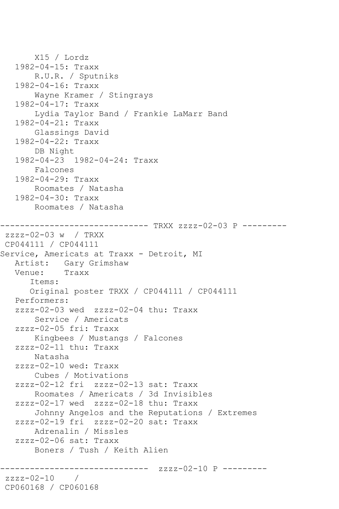```
 X15 / Lordz
    1982-04-15: Traxx
        R.U.R. / Sputniks
    1982-04-16: Traxx
        Wayne Kramer / Stingrays
    1982-04-17: Traxx
        Lydia Taylor Band / Frankie LaMarr Band
    1982-04-21: Traxx
        Glassings David
    1982-04-22: Traxx
        DB Night
    1982-04-23 1982-04-24: Traxx
        Falcones
    1982-04-29: Traxx
        Roomates / Natasha
    1982-04-30: Traxx
        Roomates / Natasha
        ------------------------------ TRXX zzzz-02-03 P ---------
zzzz-02-03 w / TRXX 
CP044111 / CP044111
Service, Americats at Traxx - Detroit, MI
  Artist: Gary Grimshaw<br>Venue: Traxx
  Venue:
       Items:
       Original poster TRXX / CP044111 / CP044111
    Performers:
    zzzz-02-03 wed zzzz-02-04 thu: Traxx
        Service / Americats
    zzzz-02-05 fri: Traxx
        Kingbees / Mustangs / Falcones
    zzzz-02-11 thu: Traxx
        Natasha
    zzzz-02-10 wed: Traxx
        Cubes / Motivations
    zzzz-02-12 fri zzzz-02-13 sat: Traxx
        Roomates / Americats / 3d Invisibles
    zzzz-02-17 wed zzzz-02-18 thu: Traxx
        Johnny Angelos and the Reputations / Extremes
    zzzz-02-19 fri zzzz-02-20 sat: Traxx
        Adrenalin / Missles
    zzzz-02-06 sat: Traxx
        Boners / Tush / Keith Alien
                      ---------- zzzz-02-10 P ---------
zzzz-02-10 / 
CP060168 / CP060168
```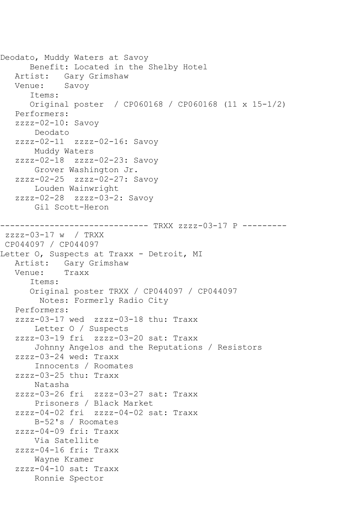```
Deodato, Muddy Waters at Savoy
       Benefit: Located in the Shelby Hotel
   Artist: Gary Grimshaw
   Venue: Savoy
       Items:
       Original poster / CP060168 / CP060168 (11 x 15-1/2)
    Performers:
    zzzz-02-10: Savoy
        Deodato
    zzzz-02-11 zzzz-02-16: Savoy
        Muddy Waters
    zzzz-02-18 zzzz-02-23: Savoy
        Grover Washington Jr.
    zzzz-02-25 zzzz-02-27: Savoy
        Louden Wainwright
    zzzz-02-28 zzzz-03-2: Savoy
        Gil Scott-Heron
------------------------------ TRXX zzzz-03-17 P ---------
zzzz-03-17 w / TRXX 
CP044097 / CP044097
Letter O, Suspects at Traxx - Detroit, MI
  Artist: Gary Grimshaw<br>Venue: Traxx
  Venue:
       Items:
       Original poster TRXX / CP044097 / CP044097
         Notes: Formerly Radio City
    Performers:
    zzzz-03-17 wed zzzz-03-18 thu: Traxx
        Letter O / Suspects
    zzzz-03-19 fri zzzz-03-20 sat: Traxx
        Johnny Angelos and the Reputations / Resistors
    zzzz-03-24 wed: Traxx
        Innocents / Roomates
    zzzz-03-25 thu: Traxx
        Natasha
    zzzz-03-26 fri zzzz-03-27 sat: Traxx
        Prisoners / Black Market
    zzzz-04-02 fri zzzz-04-02 sat: Traxx
        B-52's / Roomates
    zzzz-04-09 fri: Traxx
        Via Satellite
    zzzz-04-16 fri: Traxx
        Wayne Kramer
    zzzz-04-10 sat: Traxx
        Ronnie Spector
```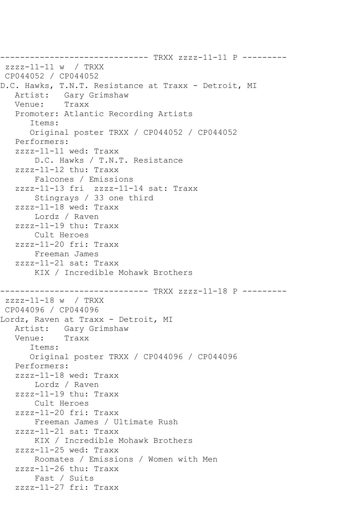------------------------------ TRXX zzzz-11-11 P --------  $zzzz-11-11$  w / TRXX CP044052 / CP044052 D.C. Hawks, T.N.T. Resistance at Traxx - Detroit, MI Artist: Gary Grimshaw<br>Venue: Traxx Traxx Promoter: Atlantic Recording Artists Items: Original poster TRXX / CP044052 / CP044052 Performers: zzzz-11-11 wed: Traxx D.C. Hawks / T.N.T. Resistance zzzz-11-12 thu: Traxx Falcones / Emissions zzzz-11-13 fri zzzz-11-14 sat: Traxx Stingrays / 33 one third zzzz-11-18 wed: Traxx Lordz / Raven zzzz-11-19 thu: Traxx Cult Heroes zzzz-11-20 fri: Traxx Freeman James zzzz-11-21 sat: Traxx KIX / Incredible Mohawk Brothers ------------------------------ TRXX zzzz-11-18 P -------- zzzz-11-18 w / TRXX CP044096 / CP044096 Lordz, Raven at Traxx - Detroit, MI Artist: Gary Grimshaw<br>Venue: Traxx Venue: Items: Original poster TRXX / CP044096 / CP044096 Performers: zzzz-11-18 wed: Traxx Lordz / Raven zzzz-11-19 thu: Traxx Cult Heroes zzzz-11-20 fri: Traxx Freeman James / Ultimate Rush zzzz-11-21 sat: Traxx KIX / Incredible Mohawk Brothers zzzz-11-25 wed: Traxx Roomates / Emissions / Women with Men zzzz-11-26 thu: Traxx Fast / Suits zzzz-11-27 fri: Traxx